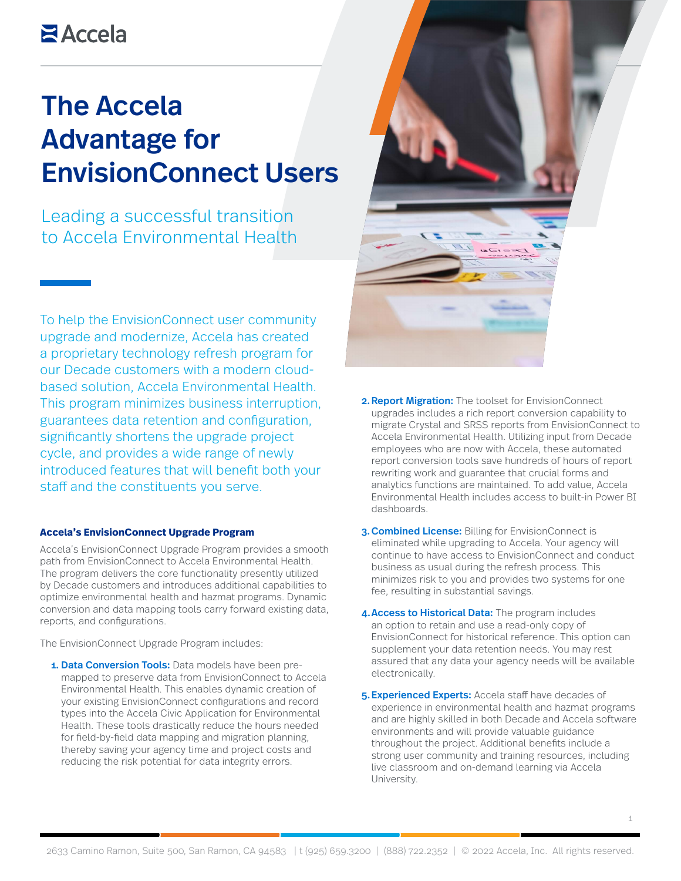# **Z**Accela

# The Accela Advantage for EnvisionConnect Users

Leading a successful transition to Accela Environmental Health

To help the EnvisionConnect user community upgrade and modernize, Accela has created a proprietary technology refresh program for our Decade customers with a modern cloudbased solution, Accela Environmental Health. This program minimizes business interruption, guarantees data retention and configuration, significantly shortens the upgrade project cycle, and provides a wide range of newly introduced features that will benefit both your staff and the constituents you serve.

### **Accela's EnvisionConnect Upgrade Program**

Accela's EnvisionConnect Upgrade Program provides a smooth path from EnvisionConnect to Accela Environmental Health. The program delivers the core functionality presently utilized by Decade customers and introduces additional capabilities to optimize environmental health and hazmat programs. Dynamic conversion and data mapping tools carry forward existing data, reports, and configurations.

The EnvisionConnect Upgrade Program includes:

1. Data Conversion Tools: Data models have been premapped to preserve data from EnvisionConnect to Accela Environmental Health. This enables dynamic creation of your existing EnvisionConnect configurations and record types into the Accela Civic Application for Environmental Health. These tools drastically reduce the hours needed for field-by-field data mapping and migration planning, thereby saving your agency time and project costs and reducing the risk potential for data integrity errors.



- 2. Report Migration: The toolset for EnvisionConnect upgrades includes a rich report conversion capability to migrate Crystal and SRSS reports from EnvisionConnect to Accela Environmental Health. Utilizing input from Decade employees who are now with Accela, these automated report conversion tools save hundreds of hours of report rewriting work and guarantee that crucial forms and analytics functions are maintained. To add value, Accela Environmental Health includes access to built-in Power BI dashboards.
- 3. Combined License: Billing for EnvisionConnect is eliminated while upgrading to Accela. Your agency will continue to have access to EnvisionConnect and conduct business as usual during the refresh process. This minimizes risk to you and provides two systems for one fee, resulting in substantial savings.
- 4. Access to Historical Data: The program includes an option to retain and use a read-only copy of EnvisionConnect for historical reference. This option can supplement your data retention needs. You may rest assured that any data your agency needs will be available electronically.
- 5. Experienced Experts: Accela staff have decades of experience in environmental health and hazmat programs and are highly skilled in both Decade and Accela software environments and will provide valuable guidance throughout the project. Additional benefits include a strong user community and training resources, including live classroom and on-demand learning via Accela University.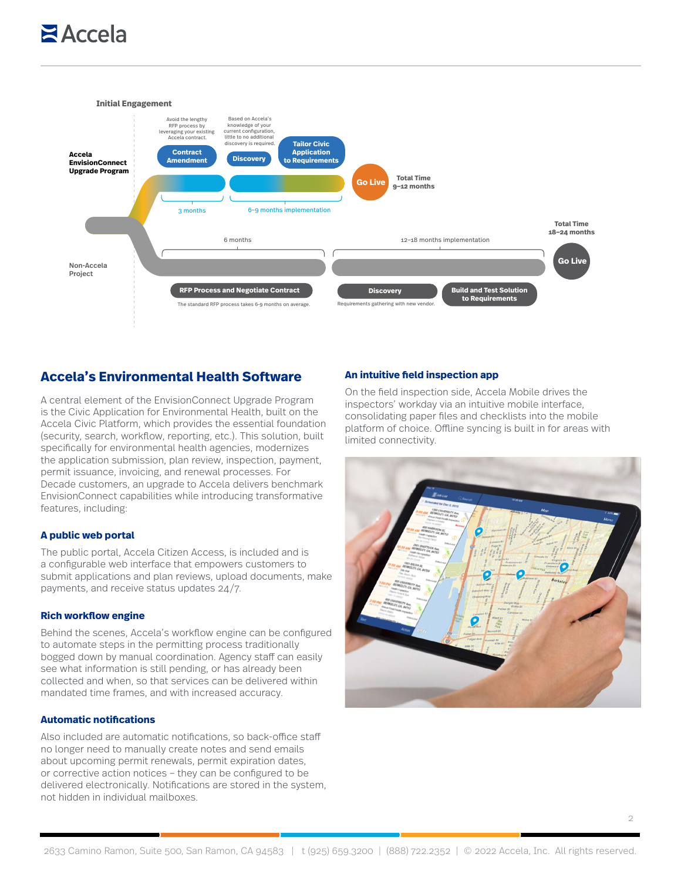# **E** Accela



# **Accela's Environmental Health Software**

A central element of the EnvisionConnect Upgrade Program is the Civic Application for Environmental Health, built on the Accela Civic Platform, which provides the essential foundation (security, search, workflow, reporting, etc.). This solution, built specifically for environmental health agencies, modernizes the application submission, plan review, inspection, payment, permit issuance, invoicing, and renewal processes. For Decade customers, an upgrade to Accela delivers benchmark EnvisionConnect capabilities while introducing transformative features, including:

### **A public web portal**

The public portal, Accela Citizen Access, is included and is a configurable web interface that empowers customers to submit applications and plan reviews, upload documents, make payments, and receive status updates 24/7.

#### **Rich workflow engine**

Behind the scenes, Accela's workflow engine can be configured to automate steps in the permitting process traditionally bogged down by manual coordination. Agency staff can easily see what information is still pending, or has already been collected and when, so that services can be delivered within mandated time frames, and with increased accuracy.

#### **Automatic notifications**

Also included are automatic notifications, so back-office staff no longer need to manually create notes and send emails about upcoming permit renewals, permit expiration dates, or corrective action notices – they can be configured to be delivered electronically. Notifications are stored in the system, not hidden in individual mailboxes.

#### **An intuitive field inspection app**

On the field inspection side, Accela Mobile drives the inspectors' workday via an intuitive mobile interface, consolidating paper files and checklists into the mobile platform of choice. Offline syncing is built in for areas with limited connectivity.